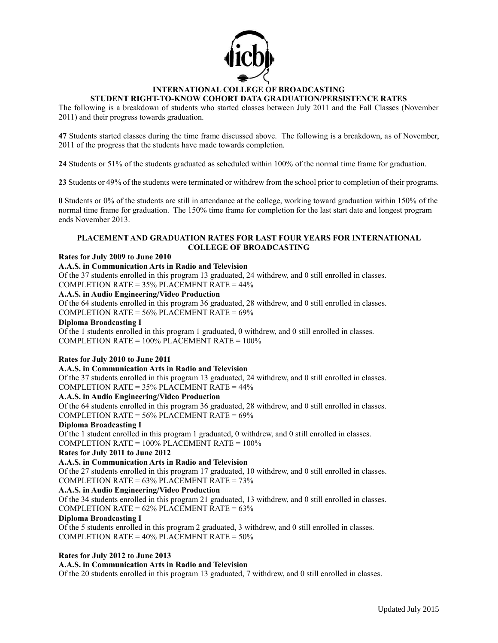

# **INTERNATIONAL COLLEGE OF BROADCASTING**

## **STUDENT RIGHT-TO-KNOW COHORT DATA GRADUATION/PERSISTENCE RATES**

The following is a breakdown of students who started classes between July 2011 and the Fall Classes (November 2011) and their progress towards graduation.

**47** Students started classes during the time frame discussed above. The following is a breakdown, as of November, 2011 of the progress that the students have made towards completion.

**24** Students or 51% of the students graduated as scheduled within 100% of the normal time frame for graduation.

**23** Students or 49% of the students were terminated or withdrew from the school prior to completion of their programs.

**0** Students or 0% of the students are still in attendance at the college, working toward graduation within 150% of the normal time frame for graduation. The 150% time frame for completion for the last start date and longest program ends November 2013.

## **PLACEMENT AND GRADUATION RATES FOR LAST FOUR YEARS FOR INTERNATIONAL COLLEGE OF BROADCASTING**

## **Rates for July 2009 to June 2010**

## **A.A.S. in Communication Arts in Radio and Television**

Of the 37 students enrolled in this program 13 graduated, 24 withdrew, and 0 still enrolled in classes. COMPLETION RATE = 35% PLACEMENT RATE = 44%

## **A.A.S. in Audio Engineering/Video Production**

Of the 64 students enrolled in this program 36 graduated, 28 withdrew, and 0 still enrolled in classes. COMPLETION RATE = 56% PLACEMENT RATE = 69%

## **Diploma Broadcasting I**

Of the 1 students enrolled in this program 1 graduated, 0 withdrew, and 0 still enrolled in classes. COMPLETION RATE = 100% PLACEMENT RATE = 100%

## **Rates for July 2010 to June 2011**

## **A.A.S. in Communication Arts in Radio and Television**

Of the 37 students enrolled in this program 13 graduated, 24 withdrew, and 0 still enrolled in classes. COMPLETION RATE = 35% PLACEMENT RATE = 44%

## **A.A.S. in Audio Engineering/Video Production**

Of the 64 students enrolled in this program 36 graduated, 28 withdrew, and 0 still enrolled in classes. COMPLETION RATE = 56% PLACEMENT RATE = 69%

## **Diploma Broadcasting I**

Of the 1 student enrolled in this program 1 graduated, 0 withdrew, and 0 still enrolled in classes. COMPLETION RATE = 100% PLACEMENT RATE = 100%

## **Rates for July 2011 to June 2012**

## **A.A.S. in Communication Arts in Radio and Television**

Of the 27 students enrolled in this program 17 graduated, 10 withdrew, and 0 still enrolled in classes. COMPLETION RATE =  $63\%$  PLACEMENT RATE =  $73\%$ 

## **A.A.S. in Audio Engineering/Video Production**

Of the 34 students enrolled in this program 21 graduated, 13 withdrew, and 0 still enrolled in classes. COMPLETION RATE =  $62\%$  PLACEMENT RATE =  $63\%$ 

## **Diploma Broadcasting I**

Of the 5 students enrolled in this program 2 graduated, 3 withdrew, and 0 still enrolled in classes. COMPLETION RATE = 40% PLACEMENT RATE = 50%

## **Rates for July 2012 to June 2013**

## **A.A.S. in Communication Arts in Radio and Television**

Of the 20 students enrolled in this program 13 graduated, 7 withdrew, and 0 still enrolled in classes.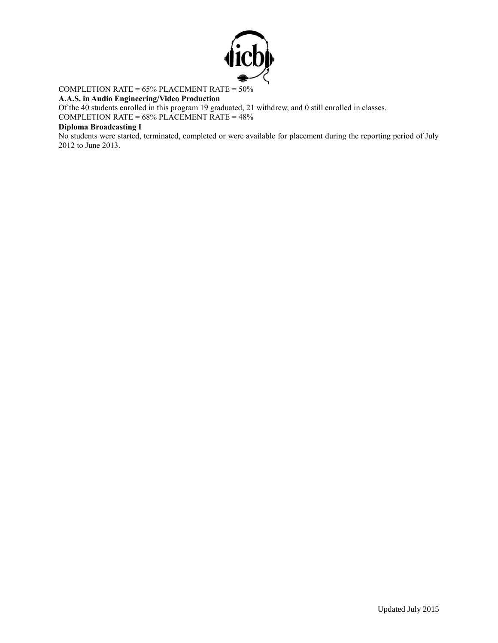

## COMPLETION RATE = 65% PLACEMENT RATE = 50%

## **A.A.S. in Audio Engineering/Video Production**

Of the 40 students enrolled in this program 19 graduated, 21 withdrew, and 0 still enrolled in classes.

COMPLETION RATE = 68% PLACEMENT RATE = 48%

## **Diploma Broadcasting I**

No students were started, terminated, completed or were available for placement during the reporting period of July 2012 to June 2013.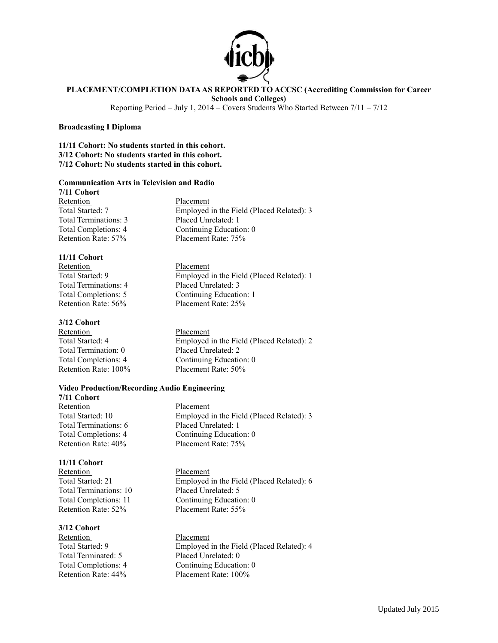

## **PLACEMENT/COMPLETION DATA AS REPORTED TO ACCSC (Accrediting Commission for Career**

**Schools and Colleges)**

Reporting Period – July 1, 2014 – Covers Students Who Started Between 7/11 – 7/12

## **Broadcasting I Diploma**

**11/11 Cohort: No students started in this cohort. 3/12 Cohort: No students started in this cohort. 7/12 Cohort: No students started in this cohort.**

## **Communication Arts in Television and Radio**

**7/11 Cohort** Retention Placement Total Terminations: 3 Placed Unrelated: 1

Total Started: 7 Employed in the Field (Placed Related): 3 Total Completions: 4 Continuing Education: 0 Retention Rate: 57% Placement Rate: 75%

Employed in the Field (Placed Related): 1

**11/11 Cohort** Retention<br>Total Started: 9 The Placement<br>Employed Total Terminations: 4 Placed Unrelated: 3 Total Completions: 5 Continuing Education: 1 Retention Rate: 56% Placement Rate: 25%

## **3/12 Cohort**

Retention Placement Total Termination: 0 Placed Unrelated: 2 Retention Rate: 100% Placement Rate: 50%

Total Started: 4 Employed in the Field (Placed Related): 2 Total Completions: 4 Continuing Education: 0

## **Video Production/Recording Audio Engineering**

**7/11 Cohort** Retention Placement Total Terminations: 6 Placed Unrelated: 1

## **11/11 Cohort**

Retention Placement Total Terminations: 10 Placed Unrelated: 5 Retention Rate: 52% Placement Rate: 55%

# **3/12 Cohort**

Total Terminated: 5 Placed Unrelated: 0

Total Started: 10 Employed in the Field (Placed Related): 3 Total Completions: 4 Continuing Education: 0 Retention Rate: 40% Placement Rate: 75%

Total Started: 21 Employed in the Field (Placed Related): 6 Total Completions: 11 Continuing Education: 0

Placement Total Started: 9 Employed in the Field (Placed Related): 4 Total Completions: 4 Continuing Education: 0 Retention Rate: 44% Placement Rate: 100%